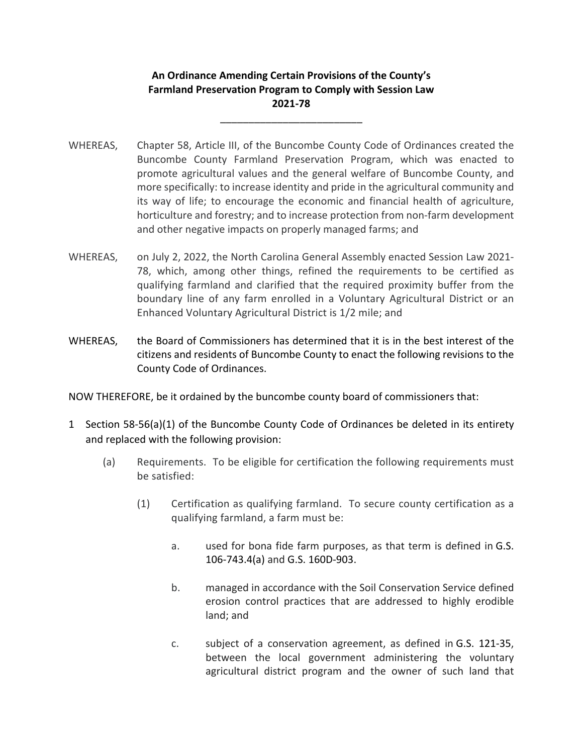## **An Ordinance Amending Certain Provisions of the County's Farmland Preservation Program to Comply with Session Law 2021‐78**

\_\_\_\_\_\_\_\_\_\_\_\_\_\_\_\_\_\_\_\_\_\_\_\_\_

- WHEREAS, Chapter 58, Article III, of the Buncombe County Code of Ordinances created the Buncombe County Farmland Preservation Program, which was enacted to promote agricultural values and the general welfare of Buncombe County, and more specifically: to increase identity and pride in the agricultural community and its way of life; to encourage the economic and financial health of agriculture, horticulture and forestry; and to increase protection from non-farm development and other negative impacts on properly managed farms; and
- WHEREAS, on July 2, 2022, the North Carolina General Assembly enacted Session Law 2021-78, which, among other things, refined the requirements to be certified as qualifying farmland and clarified that the required proximity buffer from the boundary line of any farm enrolled in a Voluntary Agricultural District or an Enhanced Voluntary Agricultural District is 1/2 mile; and
- WHEREAS, the Board of Commissioners has determined that it is in the best interest of the citizens and residents of Buncombe County to enact the following revisions to the County Code of Ordinances.

NOW THEREFORE, be it ordained by the buncombe county board of commissioners that:

- 1 Section 58‐56(a)(1) of the Buncombe County Code of Ordinances be deleted in its entirety and replaced with the following provision:
	- (a) Requirements. To be eligible for certification the following requirements must be satisfied:
		- (1) Certification as qualifying farmland. To secure county certification as a qualifying farmland, a farm must be:
			- a. used for bona fide farm purposes, as that term is defined in G.S. 106‐743.4(a) and G.S. 160D‐903.
			- b. managed in accordance with the Soil Conservation Service defined erosion control practices that are addressed to highly erodible land; and
			- c. subject of a conservation agreement, as defined in G.S. 121‐35, between the local government administering the voluntary agricultural district program and the owner of such land that